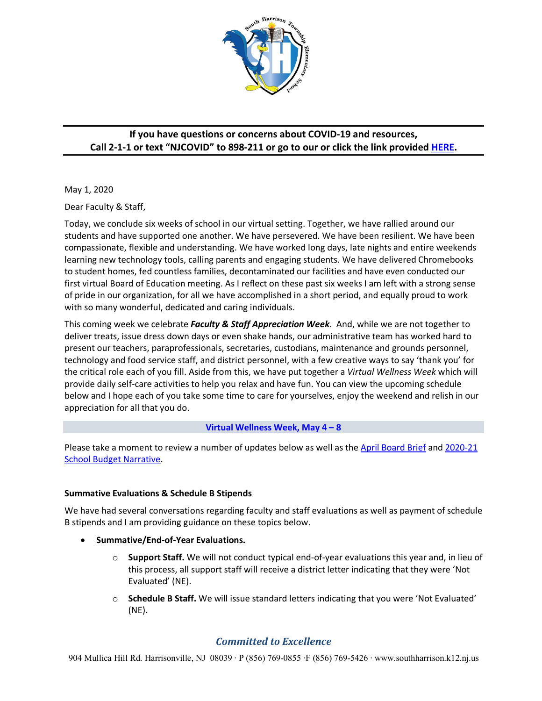

# **If you have questions or concerns about COVID-19 and resources, Call 2-1-1 or text "NJCOVID" to 898-211 or go to our or click the link provided HERE.**

May 1, 2020

Dear Faculty & Staff,

Today, we conclude six weeks of school in our virtual setting. Together, we have rallied around our students and have supported one another. We have persevered. We have been resilient. We have been compassionate, flexible and understanding. We have worked long days, late nights and entire weekends learning new technology tools, calling parents and engaging students. We have delivered Chromebooks to student homes, fed countless families, decontaminated our facilities and have even conducted our first virtual Board of Education meeting. As I reflect on these past six weeks I am left with a strong sense of pride in our organization, for all we have accomplished in a short period, and equally proud to work with so many wonderful, dedicated and caring individuals.

This coming week we celebrate *Faculty & Staff Appreciation Week*. And, while we are not together to deliver treats, issue dress down days or even shake hands, our administrative team has worked hard to present our teachers, paraprofessionals, secretaries, custodians, maintenance and grounds personnel, technology and food service staff, and district personnel, with a few creative ways to say 'thank you' for the critical role each of you fill. Aside from this, we have put together a *Virtual Wellness Week* which will provide daily self-care activities to help you relax and have fun. You can view the upcoming schedule below and I hope each of you take some time to care for yourselves, enjoy the weekend and relish in our appreciation for all that you do.

## **Virtual Wellness Week, May 4 – 8**

Please take a moment to review a number of updates below as well as the April Board Brief and 2020-21 School Budget Narrative.

## **Summative Evaluations & Schedule B Stipends**

We have had several conversations regarding faculty and staff evaluations as well as payment of schedule B stipends and I am providing guidance on these topics below.

- **Summative/End-of-Year Evaluations.**
	- o **Support Staff.** We will not conduct typical end-of-year evaluations this year and, in lieu of this process, all support staff will receive a district letter indicating that they were 'Not Evaluated' (NE).
	- o **Schedule B Staff.** We will issue standard letters indicating that you were 'Not Evaluated' (NE).

## *Committed to Excellence*

904 Mullica Hill Rd. Harrisonville, NJ 08039 · P (856) 769-0855 ·F (856) 769-5426 · www.southharrison.k12.nj.us